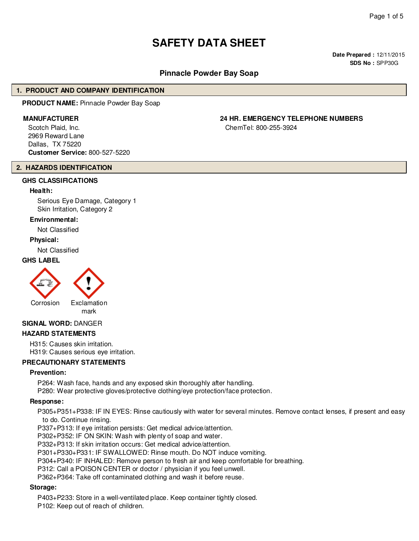## **SAFETY DATA SHEET**

**Date Prepared :** 12/11/2015 **SDS No :** SPP30G

#### **Pinnacle Powder Bay Soap**

#### **1. PRODUCT AND COMPANY IDENTIFICATION**

**PRODUCT NAME:** Pinnacle Powder Bay Soap

Scotch Plaid, Inc. 2969 Reward Lane Dallas, TX 75220 **Customer Service:** 800-527-5220

#### **2. HAZARDS IDENTIFICATION**

#### **GHS CLASSIFICATIONS**

#### **Health:**

Serious Eye Damage, Category 1 Skin Irritation, Category 2

#### **Environmental:**

Not Classified

#### **Physical:**

Not Classified

#### **GHS LABEL**



# mark

#### **SIGNAL WORD:** DANGER

#### **HAZARD STATEMENTS**

H315: Causes skin irritation. H319: Causes serious eye irritation.

#### **PRECAUTIONARY STATEMENTS**

#### **Prevention:**

P264: Wash face, hands and any exposed skin thoroughly after handling.

P280: Wear protective gloves/protective clothing/eye protection/face protection.

#### **Response:**

P305+P351+P338: IF IN EYES: Rinse cautiously with water for several minutes. Remove contact lenses, if present and easy to do. Continue rinsing.

P337+P313: If eye irritation persists: Get medical advice/attention.

P302+P352: IF ON SKIN: Wash with plenty of soap and water.

P332+P313: If skin irritation occurs: Get medical advice/attention.

P301+P330+P331: IF SWALLOWED: Rinse mouth. Do NOT induce vomiting.

P304+P340: IF INHALED: Remove person to fresh air and keep comfortable for breathing.

P312: Call a POISON CENTER or doctor / physician if you feel unwell.

P362+P364: Take off contaminated clothing and wash it before reuse.

#### **Storage:**

P403+P233: Store in a well-ventilated place. Keep container tightly closed.

P102: Keep out of reach of children.

### **MANUFACTURER 24 HR. EMERGENCY TELEPHONE NUMBERS**

ChemTel: 800-255-3924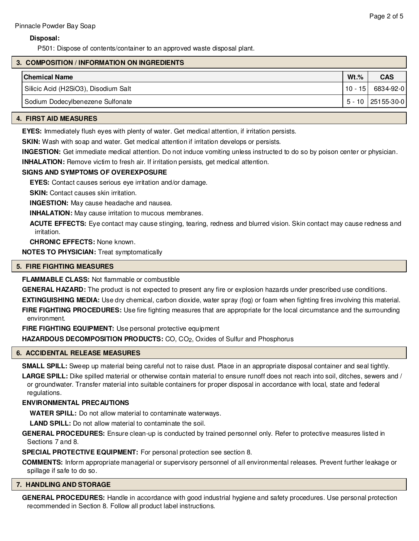#### **Disposal:**

P501: Dispose of contents/container to an approved waste disposal plant.

#### **3. COMPOSITION / INFORMATION ON INGREDIENTS**

| $Wt.$ % | <b>CAS</b>          |
|---------|---------------------|
|         | $10 - 15$ 6834-92-0 |
|         | $5 - 10$ 25155-30-0 |
|         |                     |

#### **4. FIRST AID MEASURES**

**EYES:** Immediately flush eyes with plenty of water. Get medical attention, if irritation persists.

**SKIN:** Wash with soap and water. Get medical attention if irritation develops or persists.

**INGESTION:** Get immediate medical attention. Do not induce vomiting unless instructed to do so by poison center or physician.

**INHALATION:** Remove victim to fresh air. If irritation persists, get medical attention.

#### **SIGNS AND SYMPTOMS OF OVEREXPOSURE**

**EYES:** Contact causes serious eye irritation and/or damage.

**SKIN:** Contact causes skin irritation.

**INGESTION:** May cause headache and nausea.

**INHALATION:** May cause irritation to mucous membranes.

**ACUTE EFFECTS:** Eye contact may cause stinging, tearing, redness and blurred vision. Skin contact may cause redness and irritation.

**CHRONIC EFFECTS:** None known.

**NOTES TO PHYSICIAN:** Treat symptomatically

#### **5. FIRE FIGHTING MEASURES**

**FLAMMABLE CLASS:** Not flammable or combustible

**GENERAL HAZARD:** The product is not expected to present any fire or explosion hazards under prescribed use conditions.

**EXTINGUISHING MEDIA:** Use dry chemical, carbon dioxide, water spray (fog) or foam when fighting fires involving this material. **FIRE FIGHTING PROCEDURES:** Use fire fighting measures that are appropriate for the local circumstance and the surrounding environment.

**FIRE FIGHTING EQUIPMENT:** Use personal protective equipment

HAZARDOUS DECOMPOSITION PRODUCTS: CO, CO<sub>2</sub>, Oxides of Sulfur and Phosphorus

#### **6. ACCIDENTAL RELEASE MEASURES**

**SMALL SPILL:** Sweep up material being careful not to raise dust. Place in an appropriate disposal container and seal tightly.

**LARGE SPILL:** Dike spilled material or otherwise contain material to ensure runoff does not reach into soil, ditches, sewers and / or groundwater. Transfer material into suitable containers for proper disposal in accordance with local, state and federal regulations.

#### **ENVIRONMENTAL PRECAUTIONS**

**WATER SPILL:** Do not allow material to contaminate waterways.

**LAND SPILL:** Do not allow material to contaminate the soil.

**GENERAL PROCEDURES:** Ensure clean-up is conducted by trained personnel only. Refer to protective measures listed in Sections 7 and 8.

**SPECIAL PROTECTIVE EQUIPMENT:** For personal protection see section 8.

**COMMENTS:** Inform appropriate managerial or supervisory personnel of all environmental releases. Prevent further leakage or spillage if safe to do so.

#### **7. HANDLING AND STORAGE**

**GENERAL PROCEDURES:** Handle in accordance with good industrial hygiene and safety procedures. Use personal protection recommended in Section 8. Follow all product label instructions.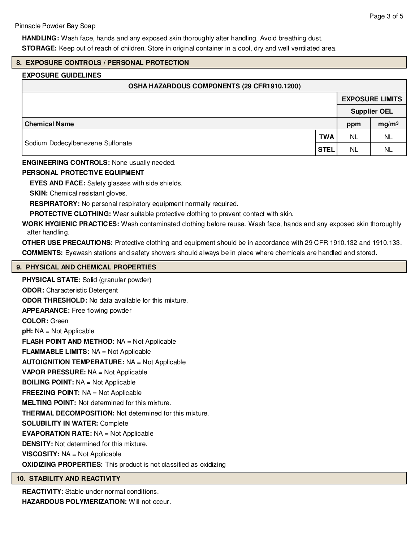**HANDLING:** Wash face, hands and any exposed skin thoroughly after handling. Avoid breathing dust. **STORAGE:** Keep out of reach of children. Store in original container in a cool, dry and well ventilated area.

#### **8. EXPOSURE CONTROLS / PERSONAL PROTECTION**

#### **EXPOSURE GUIDELINES**

| OSHA HAZARDOUS COMPONENTS (29 CFR1910.1200) |     |                        |
|---------------------------------------------|-----|------------------------|
|                                             |     | <b>EXPOSURE LIMITS</b> |
|                                             |     | <b>Supplier OEL</b>    |
| Chemical Name                               | ppm | mg/m <sup>3</sup>      |

Sodium Dodecylbenezene Sulfonate

**ENGINEERING CONTROLS:** None usually needed.

#### **PERSONAL PROTECTIVE EQUIPMENT**

**EYES AND FACE:** Safety glasses with side shields.

**SKIN:** Chemical resistant gloves.

**RESPIRATORY:** No personal respiratory equipment normally required.

**PROTECTIVE CLOTHING:** Wear suitable protective clothing to prevent contact with skin.

**WORK HYGIENIC PRACTICES:** Wash contaminated clothing before reuse. Wash face, hands and any exposed skin thoroughly after handling.

**OTHER USE PRECAUTIONS:** Protective clothing and equipment should be in accordance with 29 CFR 1910.132 and 1910.133. **COMMENTS:** Eyewash stations and safety showers should always be in place where chemicals are handled and stored.

#### **9. PHYSICAL AND CHEMICAL PROPERTIES**

**PHYSICAL STATE:** Solid (granular powder) **ODOR:** Characteristic Detergent **ODOR THRESHOLD:** No data available for this mixture. **APPEARANCE:** Free flowing powder **COLOR:** Green **pH:** NA = Not Applicable **FLASH POINT AND METHOD:** NA = Not Applicable **FLAMMABLE LIMITS:** NA = Not Applicable **AUTOIGNITION TEMPERATURE:** NA = Not Applicable **VAPOR PRESSURE:** NA = Not Applicable **BOILING POINT:** NA = Not Applicable **FREEZING POINT:** NA = Not Applicable **MELTING POINT:** Not determined for this mixture. **THERMAL DECOMPOSITION:** Not determined for this mixture. **SOLUBILITY IN WATER:** Complete **EVAPORATION RATE:** NA = Not Applicable **DENSITY:** Not determined for this mixture. **VISCOSITY:** NA = Not Applicable **OXIDIZING PROPERTIES:** This product is not classified as oxidizing

#### **10. STABILITY AND REACTIVITY**

**REACTIVITY:** Stable under normal conditions. **HAZARDOUS POLYMERIZATION:** Will not occur. **TWA** NL NL **STEL** NL NL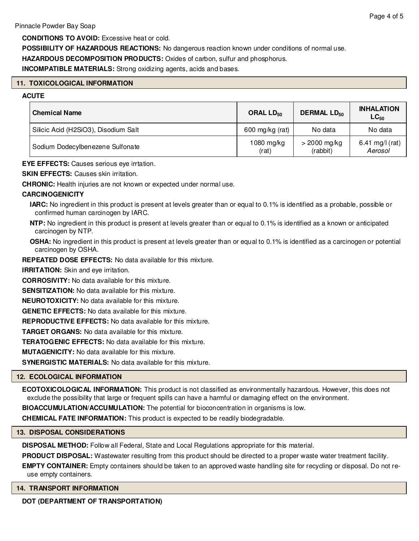**CONDITIONS TO AVOID:** Excessive heat or cold.

**POSSIBILITY OF HAZARDOUS REACTIONS:** No dangerous reaction known under conditions of normal use.

**HAZARDOUS DECOMPOSITION PRODUCTS:** Oxides of carbon, sulfur and phosphorus.

**INCOMPATIBLE MATERIALS:** Strong oxidizing agents, acids and bases.

#### **11. TOXICOLOGICAL INFORMATION**

#### **ACUTE**

| <b>Chemical Name</b>                 | ORAL $LD_{50}$        | <b>DERMAL LD<sub>50</sub></b> | <b>INHALATION</b><br>$LC_{50}$ |
|--------------------------------------|-----------------------|-------------------------------|--------------------------------|
| Silicic Acid (H2SiO3), Disodium Salt | 600 mg/kg (rat)       | No data                       | No data                        |
| Sodium Dodecylbenezene Sulfonate     | $1080$ mg/kg<br>(rat) | $>$ 2000 mg/kg<br>(rabbit)    | 6.41 mg/l (rat)<br>Aerosol     |

**EYE EFFECTS:** Causes serious eye irrtation.

**SKIN EFFECTS: Causes skin irritation.** 

**CHRONIC:** Health injuries are not known or expected under normal use.

#### **CARCINOGENICITY**

**IARC:** No ingredient in this product is present at levels greater than or equal to 0.1% is identified as a probable, possible or confirmed human carcinogen by IARC.

- **NTP:** No ingredient in this product is present at levels greater than or equal to 0.1% is identified as a known or anticipated carcinogen by NTP.
- **OSHA:** No ingredient in this product is present at levels greater than or equal to 0.1% is identified as a carcinogen or potential carcinogen by OSHA.

**REPEATED DOSE EFFECTS:** No data available for this mixture.

**IRRITATION:** Skin and eye irritation.

**CORROSIVITY:** No data available for this mixture.

**SENSITIZATION:** No data available for this mixture.

**NEUROTOXICITY:** No data available for this mixture.

**GENETIC EFFECTS:** No data available for this mixture.

**REPRODUCTIVE EFFECTS:** No data available for this mixture.

**TARGET ORGANS:** No data available for this mixture.

**TERATOGENIC EFFECTS:** No data available for this mixture.

**MUTAGENICITY:** No data available for this mixture.

**SYNERGISTIC MATERIALS:** No data available for this mixture.

#### **12. ECOLOGICAL INFORMATION**

**ECOTOXICOLOGICAL INFORMATION:** This product is not classified as environmentally hazardous. However, this does not exclude the possibility that large or frequent spills can have a harmful or damaging effect on the environment.

**BIOACCUMULATION/ACCUMULATION:** The potential for bioconcentration in organisms is low.

**CHEMICAL FATE INFORMATION:** This product is expected to be readily biodegradable.

#### **13. DISPOSAL CONSIDERATIONS**

**DISPOSAL METHOD:** Follow all Federal, State and Local Regulations appropriate for this material.

**PRODUCT DISPOSAL:** Wastewater resulting from this product should be directed to a proper waste water treatment facility.

**EMPTY CONTAINER:** Empty containers should be taken to an approved waste handling site for recycling or disposal. Do not reuse empty containers.

#### **14. TRANSPORT INFORMATION**

**DOT (DEPARTMENT OF TRANSPORTATION)**